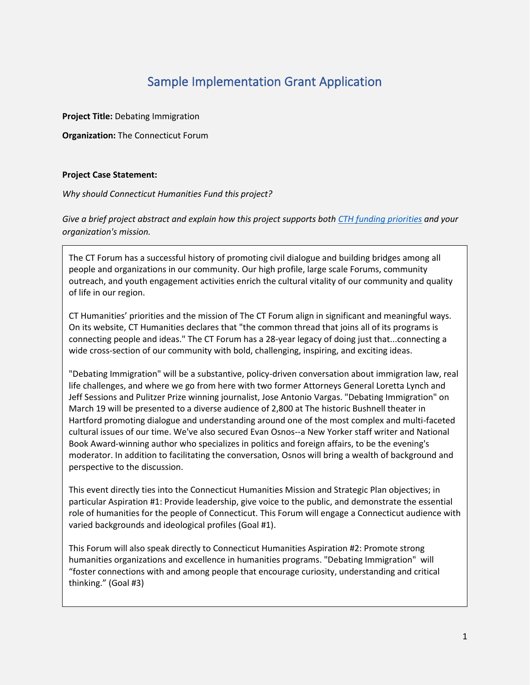### Sample Implementation Grant Application

**Project Title:** Debating Immigration

**Organization:** The Connecticut Forum

#### **Project Case Statement:**

#### *Why should Connecticut Humanities Fund this project?*

*Give a brief project abstract and explain how this project supports both [CTH funding priorities](https://cthumanities.org/funding-priorities/) and your organization's mission.*

The CT Forum has a successful history of promoting civil dialogue and building bridges among all people and organizations in our community. Our high profile, large scale Forums, community outreach, and youth engagement activities enrich the cultural vitality of our community and quality of life in our region.

CT Humanities' priorities and the mission of The CT Forum align in significant and meaningful ways. On its website, CT Humanities declares that "the common thread that joins all of its programs is connecting people and ideas." The CT Forum has a 28-year legacy of doing just that...connecting a wide cross-section of our community with bold, challenging, inspiring, and exciting ideas.

"Debating Immigration" will be a substantive, policy-driven conversation about immigration law, real life challenges, and where we go from here with two former Attorneys General Loretta Lynch and Jeff Sessions and Pulitzer Prize winning journalist, Jose Antonio Vargas. "Debating Immigration" on March 19 will be presented to a diverse audience of 2,800 at The historic Bushnell theater in Hartford promoting dialogue and understanding around one of the most complex and multi-faceted cultural issues of our time. We've also secured Evan Osnos--a New Yorker staff writer and National Book Award-winning author who specializes in politics and foreign affairs, to be the evening's moderator. In addition to facilitating the conversation, Osnos will bring a wealth of background and perspective to the discussion.

This event directly ties into the Connecticut Humanities Mission and Strategic Plan objectives; in particular Aspiration #1: Provide leadership, give voice to the public, and demonstrate the essential role of humanities for the people of Connecticut. This Forum will engage a Connecticut audience with varied backgrounds and ideological profiles (Goal #1).

This Forum will also speak directly to Connecticut Humanities Aspiration #2: Promote strong humanities organizations and excellence in humanities programs. "Debating Immigration" will "foster connections with and among people that encourage curiosity, understanding and critical thinking." (Goal #3)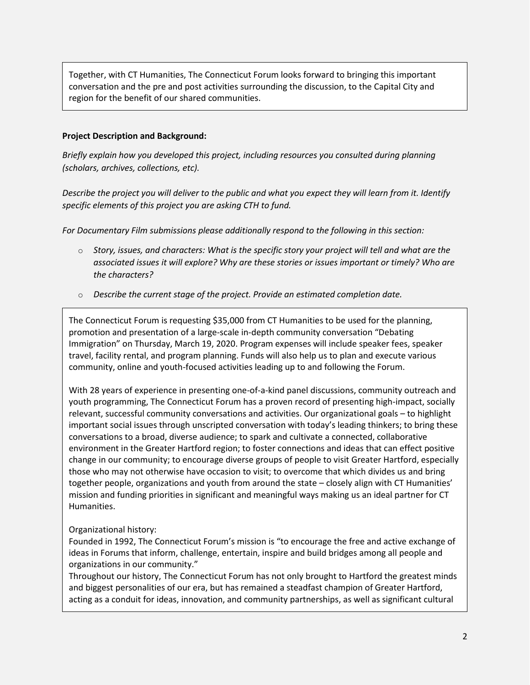Together, with CT Humanities, The Connecticut Forum looks forward to bringing this important conversation and the pre and post activities surrounding the discussion, to the Capital City and region for the benefit of our shared communities.

#### **Project Description and Background:**

*Briefly explain how you developed this project, including resources you consulted during planning (scholars, archives, collections, etc).*

*Describe the project you will deliver to the public and what you expect they will learn from it. Identify specific elements of this project you are asking CTH to fund.*

*For Documentary Film submissions please additionally respond to the following in this section:*

- o *Story, issues, and characters: What is the specific story your project will tell and what are the associated issues it will explore? Why are these stories or issues important or timely? Who are the characters?*
- o *Describe the current stage of the project. Provide an estimated completion date.*

The Connecticut Forum is requesting \$35,000 from CT Humanities to be used for the planning, promotion and presentation of a large-scale in-depth community conversation "Debating Immigration" on Thursday, March 19, 2020. Program expenses will include speaker fees, speaker travel, facility rental, and program planning. Funds will also help us to plan and execute various community, online and youth-focused activities leading up to and following the Forum.

With 28 years of experience in presenting one-of-a-kind panel discussions, community outreach and youth programming, The Connecticut Forum has a proven record of presenting high-impact, socially relevant, successful community conversations and activities. Our organizational goals – to highlight important social issues through unscripted conversation with today's leading thinkers; to bring these conversations to a broad, diverse audience; to spark and cultivate a connected, collaborative environment in the Greater Hartford region; to foster connections and ideas that can effect positive change in our community; to encourage diverse groups of people to visit Greater Hartford, especially those who may not otherwise have occasion to visit; to overcome that which divides us and bring together people, organizations and youth from around the state – closely align with CT Humanities' mission and funding priorities in significant and meaningful ways making us an ideal partner for CT Humanities.

#### Organizational history:

Founded in 1992, The Connecticut Forum's mission is "to encourage the free and active exchange of ideas in Forums that inform, challenge, entertain, inspire and build bridges among all people and organizations in our community."

Throughout our history, The Connecticut Forum has not only brought to Hartford the greatest minds and biggest personalities of our era, but has remained a steadfast champion of Greater Hartford, acting as a conduit for ideas, innovation, and community partnerships, as well as significant cultural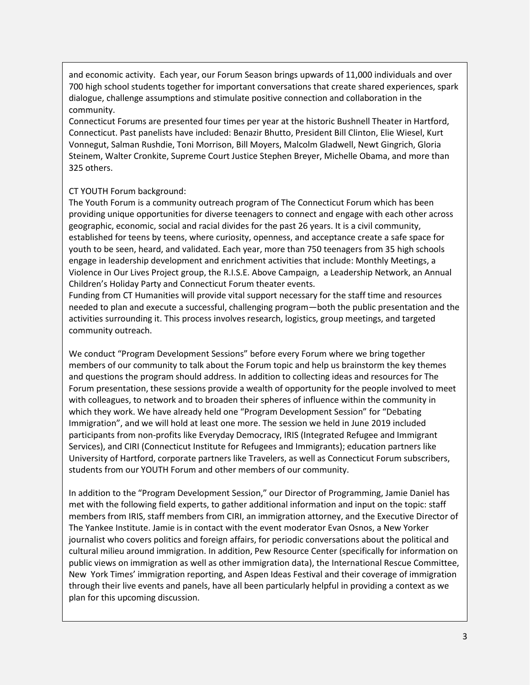and economic activity. Each year, our Forum Season brings upwards of 11,000 individuals and over 700 high school students together for important conversations that create shared experiences, spark dialogue, challenge assumptions and stimulate positive connection and collaboration in the community.

Connecticut Forums are presented four times per year at the historic Bushnell Theater in Hartford, Connecticut. Past panelists have included: Benazir Bhutto, President Bill Clinton, Elie Wiesel, Kurt Vonnegut, Salman Rushdie, Toni Morrison, Bill Moyers, Malcolm Gladwell, Newt Gingrich, Gloria Steinem, Walter Cronkite, Supreme Court Justice Stephen Breyer, Michelle Obama, and more than 325 others.

#### CT YOUTH Forum background:

The Youth Forum is a community outreach program of The Connecticut Forum which has been providing unique opportunities for diverse teenagers to connect and engage with each other across geographic, economic, social and racial divides for the past 26 years. It is a civil community, established for teens by teens, where curiosity, openness, and acceptance create a safe space for youth to be seen, heard, and validated. Each year, more than 750 teenagers from 35 high schools engage in leadership development and enrichment activities that include: Monthly Meetings, a Violence in Our Lives Project group, the R.I.S.E. Above Campaign, a Leadership Network, an Annual Children's Holiday Party and Connecticut Forum theater events.

Funding from CT Humanities will provide vital support necessary for the staff time and resources needed to plan and execute a successful, challenging program—both the public presentation and the activities surrounding it. This process involves research, logistics, group meetings, and targeted community outreach.

We conduct "Program Development Sessions" before every Forum where we bring together members of our community to talk about the Forum topic and help us brainstorm the key themes and questions the program should address. In addition to collecting ideas and resources for The Forum presentation, these sessions provide a wealth of opportunity for the people involved to meet with colleagues, to network and to broaden their spheres of influence within the community in which they work. We have already held one "Program Development Session" for "Debating Immigration", and we will hold at least one more. The session we held in June 2019 included participants from non-profits like Everyday Democracy, IRIS (Integrated Refugee and Immigrant Services), and CIRI (Connecticut Institute for Refugees and Immigrants); education partners like University of Hartford, corporate partners like Travelers, as well as Connecticut Forum subscribers, students from our YOUTH Forum and other members of our community.

In addition to the "Program Development Session," our Director of Programming, Jamie Daniel has met with the following field experts, to gather additional information and input on the topic: staff members from IRIS, staff members from CIRI, an immigration attorney, and the Executive Director of The Yankee Institute. Jamie is in contact with the event moderator Evan Osnos, a New Yorker journalist who covers politics and foreign affairs, for periodic conversations about the political and cultural milieu around immigration. In addition, Pew Resource Center (specifically for information on public views on immigration as well as other immigration data), the International Rescue Committee, New York Times' immigration reporting, and Aspen Ideas Festival and their coverage of immigration through their live events and panels, have all been particularly helpful in providing a context as we plan for this upcoming discussion.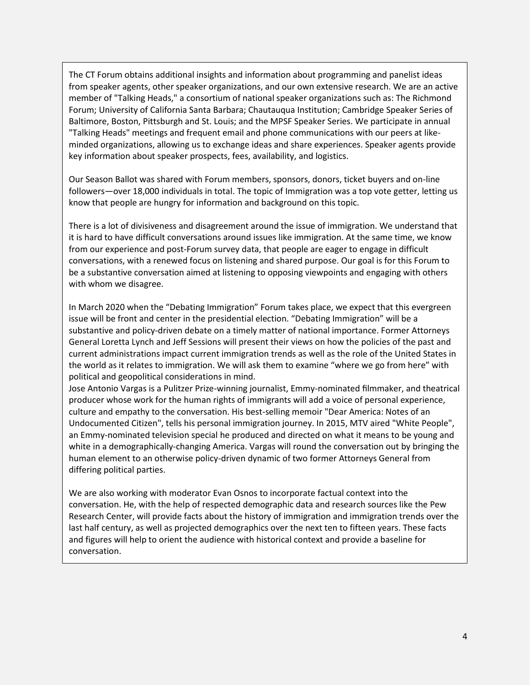The CT Forum obtains additional insights and information about programming and panelist ideas from speaker agents, other speaker organizations, and our own extensive research. We are an active member of "Talking Heads," a consortium of national speaker organizations such as: The Richmond Forum; University of California Santa Barbara; Chautauqua Institution; Cambridge Speaker Series of Baltimore, Boston, Pittsburgh and St. Louis; and the MPSF Speaker Series. We participate in annual "Talking Heads" meetings and frequent email and phone communications with our peers at likeminded organizations, allowing us to exchange ideas and share experiences. Speaker agents provide key information about speaker prospects, fees, availability, and logistics.

Our Season Ballot was shared with Forum members, sponsors, donors, ticket buyers and on-line followers—over 18,000 individuals in total. The topic of Immigration was a top vote getter, letting us know that people are hungry for information and background on this topic.

There is a lot of divisiveness and disagreement around the issue of immigration. We understand that it is hard to have difficult conversations around issues like immigration. At the same time, we know from our experience and post-Forum survey data, that people are eager to engage in difficult conversations, with a renewed focus on listening and shared purpose. Our goal is for this Forum to be a substantive conversation aimed at listening to opposing viewpoints and engaging with others with whom we disagree.

In March 2020 when the "Debating Immigration" Forum takes place, we expect that this evergreen issue will be front and center in the presidential election. "Debating Immigration" will be a substantive and policy-driven debate on a timely matter of national importance. Former Attorneys General Loretta Lynch and Jeff Sessions will present their views on how the policies of the past and current administrations impact current immigration trends as well as the role of the United States in the world as it relates to immigration. We will ask them to examine "where we go from here" with political and geopolitical considerations in mind.

Jose Antonio Vargas is a Pulitzer Prize-winning journalist, Emmy-nominated filmmaker, and theatrical producer whose work for the human rights of immigrants will add a voice of personal experience, culture and empathy to the conversation. His best-selling memoir "Dear America: Notes of an Undocumented Citizen", tells his personal immigration journey. In 2015, MTV aired "White People", an Emmy-nominated television special he produced and directed on what it means to be young and white in a demographically-changing America. Vargas will round the conversation out by bringing the human element to an otherwise policy-driven dynamic of two former Attorneys General from differing political parties.

We are also working with moderator Evan Osnos to incorporate factual context into the conversation. He, with the help of respected demographic data and research sources like the Pew Research Center, will provide facts about the history of immigration and immigration trends over the last half century, as well as projected demographics over the next ten to fifteen years. These facts and figures will help to orient the audience with historical context and provide a baseline for conversation.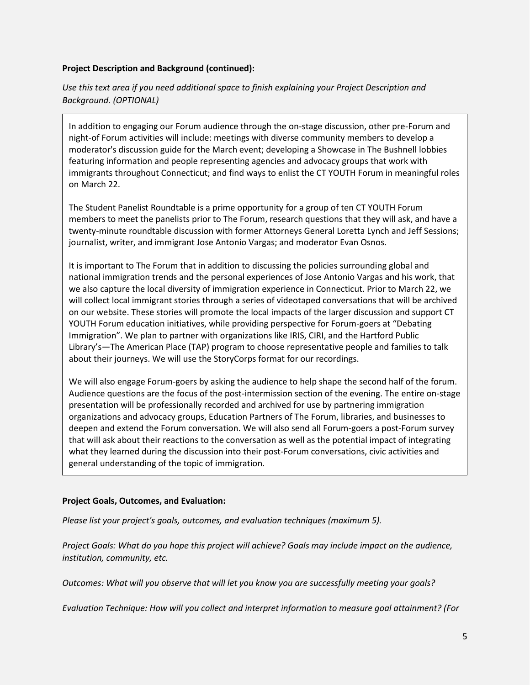#### **Project Description and Background (continued):**

*Use this text area if you need additional space to finish explaining your Project Description and Background. (OPTIONAL)*

In addition to engaging our Forum audience through the on-stage discussion, other pre-Forum and night-of Forum activities will include: meetings with diverse community members to develop a moderator's discussion guide for the March event; developing a Showcase in The Bushnell lobbies featuring information and people representing agencies and advocacy groups that work with immigrants throughout Connecticut; and find ways to enlist the CT YOUTH Forum in meaningful roles on March 22.

The Student Panelist Roundtable is a prime opportunity for a group of ten CT YOUTH Forum members to meet the panelists prior to The Forum, research questions that they will ask, and have a twenty-minute roundtable discussion with former Attorneys General Loretta Lynch and Jeff Sessions; journalist, writer, and immigrant Jose Antonio Vargas; and moderator Evan Osnos.

It is important to The Forum that in addition to discussing the policies surrounding global and national immigration trends and the personal experiences of Jose Antonio Vargas and his work, that we also capture the local diversity of immigration experience in Connecticut. Prior to March 22, we will collect local immigrant stories through a series of videotaped conversations that will be archived on our website. These stories will promote the local impacts of the larger discussion and support CT YOUTH Forum education initiatives, while providing perspective for Forum-goers at "Debating Immigration". We plan to partner with organizations like IRIS, CIRI, and the Hartford Public Library's—The American Place (TAP) program to choose representative people and families to talk about their journeys. We will use the StoryCorps format for our recordings.

We will also engage Forum-goers by asking the audience to help shape the second half of the forum. Audience questions are the focus of the post-intermission section of the evening. The entire on-stage presentation will be professionally recorded and archived for use by partnering immigration organizations and advocacy groups, Education Partners of The Forum, libraries, and businesses to deepen and extend the Forum conversation. We will also send all Forum-goers a post-Forum survey that will ask about their reactions to the conversation as well as the potential impact of integrating what they learned during the discussion into their post-Forum conversations, civic activities and general understanding of the topic of immigration.

#### **Project Goals, Outcomes, and Evaluation:**

*Please list your project's goals, outcomes, and evaluation techniques (maximum 5).*

*Project Goals: What do you hope this project will achieve? Goals may include impact on the audience, institution, community, etc.*

*Outcomes: What will you observe that will let you know you are successfully meeting your goals?*

*Evaluation Technique: How will you collect and interpret information to measure goal attainment? (For*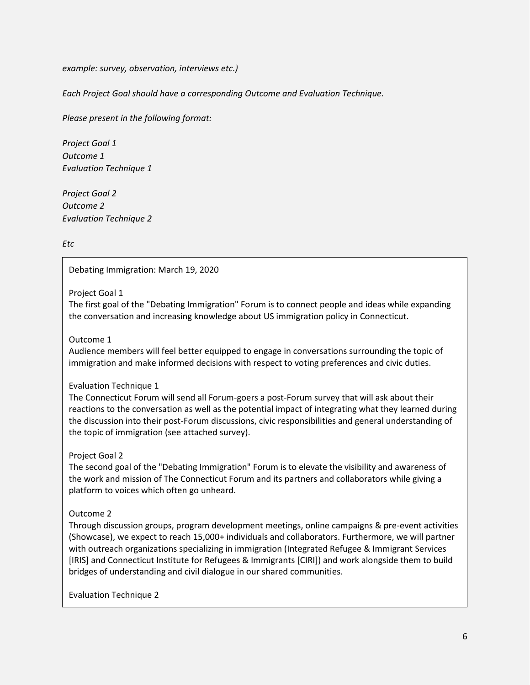*example: survey, observation, interviews etc.)*

*Each Project Goal should have a corresponding Outcome and Evaluation Technique.*

*Please present in the following format:*

*Project Goal 1 Outcome 1 Evaluation Technique 1*

*Project Goal 2 Outcome 2 Evaluation Technique 2*

*Etc*

#### Debating Immigration: March 19, 2020

#### Project Goal 1

The first goal of the "Debating Immigration" Forum is to connect people and ideas while expanding the conversation and increasing knowledge about US immigration policy in Connecticut.

#### Outcome 1

Audience members will feel better equipped to engage in conversations surrounding the topic of immigration and make informed decisions with respect to voting preferences and civic duties.

#### Evaluation Technique 1

The Connecticut Forum will send all Forum-goers a post-Forum survey that will ask about their reactions to the conversation as well as the potential impact of integrating what they learned during the discussion into their post-Forum discussions, civic responsibilities and general understanding of the topic of immigration (see attached survey).

#### Project Goal 2

The second goal of the "Debating Immigration" Forum is to elevate the visibility and awareness of the work and mission of The Connecticut Forum and its partners and collaborators while giving a platform to voices which often go unheard.

#### Outcome 2

Through discussion groups, program development meetings, online campaigns & pre-event activities (Showcase), we expect to reach 15,000+ individuals and collaborators. Furthermore, we will partner with outreach organizations specializing in immigration (Integrated Refugee & Immigrant Services [IRIS] and Connecticut Institute for Refugees & Immigrants [CIRI]) and work alongside them to build bridges of understanding and civil dialogue in our shared communities.

Evaluation Technique 2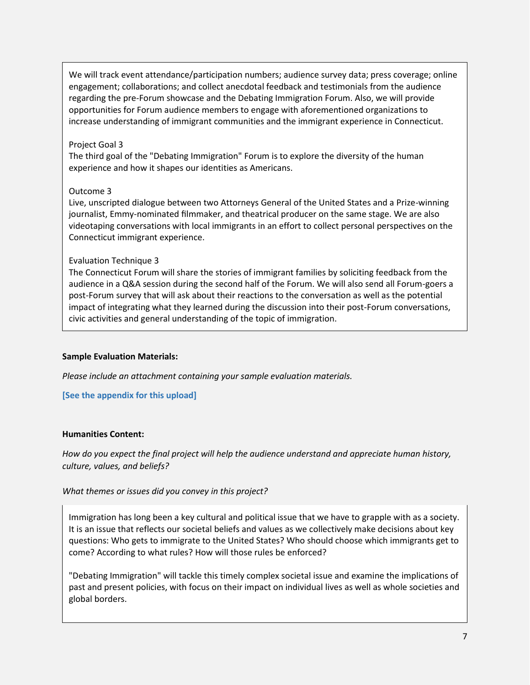We will track event attendance/participation numbers; audience survey data; press coverage; online engagement; collaborations; and collect anecdotal feedback and testimonials from the audience regarding the pre-Forum showcase and the Debating Immigration Forum. Also, we will provide opportunities for Forum audience members to engage with aforementioned organizations to increase understanding of immigrant communities and the immigrant experience in Connecticut.

#### Project Goal 3

The third goal of the "Debating Immigration" Forum is to explore the diversity of the human experience and how it shapes our identities as Americans.

#### Outcome 3

Live, unscripted dialogue between two Attorneys General of the United States and a Prize-winning journalist, Emmy-nominated filmmaker, and theatrical producer on the same stage. We are also videotaping conversations with local immigrants in an effort to collect personal perspectives on the Connecticut immigrant experience.

#### Evaluation Technique 3

The Connecticut Forum will share the stories of immigrant families by soliciting feedback from the audience in a Q&A session during the second half of the Forum. We will also send all Forum-goers a post-Forum survey that will ask about their reactions to the conversation as well as the potential impact of integrating what they learned during the discussion into their post-Forum conversations, civic activities and general understanding of the topic of immigration.

#### **Sample Evaluation Materials:**

*Please include an attachment containing your sample evaluation materials.*

#### **[See the appendix for this upload]**

#### **Humanities Content:**

*How do you expect the final project will help the audience understand and appreciate human history, culture, values, and beliefs?*

#### *What themes or issues did you convey in this project?*

Immigration has long been a key cultural and political issue that we have to grapple with as a society. It is an issue that reflects our societal beliefs and values as we collectively make decisions about key questions: Who gets to immigrate to the United States? Who should choose which immigrants get to come? According to what rules? How will those rules be enforced?

"Debating Immigration" will tackle this timely complex societal issue and examine the implications of past and present policies, with focus on their impact on individual lives as well as whole societies and global borders.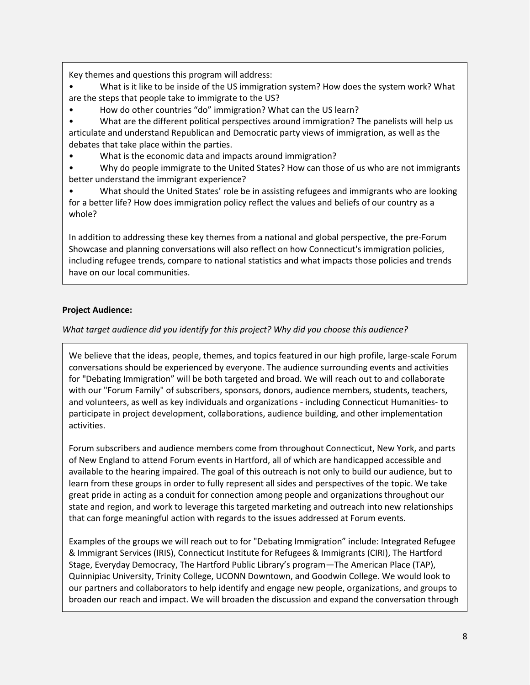Key themes and questions this program will address:

• What is it like to be inside of the US immigration system? How does the system work? What are the steps that people take to immigrate to the US?

• How do other countries "do" immigration? What can the US learn?

• What are the different political perspectives around immigration? The panelists will help us articulate and understand Republican and Democratic party views of immigration, as well as the debates that take place within the parties.

• What is the economic data and impacts around immigration?

• Why do people immigrate to the United States? How can those of us who are not immigrants better understand the immigrant experience?

• What should the United States' role be in assisting refugees and immigrants who are looking for a better life? How does immigration policy reflect the values and beliefs of our country as a whole?

In addition to addressing these key themes from a national and global perspective, the pre-Forum Showcase and planning conversations will also reflect on how Connecticut's immigration policies, including refugee trends, compare to national statistics and what impacts those policies and trends have on our local communities.

#### **Project Audience:**

#### *What target audience did you identify for this project? Why did you choose this audience?*

We believe that the ideas, people, themes, and topics featured in our high profile, large-scale Forum conversations should be experienced by everyone. The audience surrounding events and activities for "Debating Immigration" will be both targeted and broad. We will reach out to and collaborate with our "Forum Family" of subscribers, sponsors, donors, audience members, students, teachers, and volunteers, as well as key individuals and organizations - including Connecticut Humanities- to participate in project development, collaborations, audience building, and other implementation activities.

Forum subscribers and audience members come from throughout Connecticut, New York, and parts of New England to attend Forum events in Hartford, all of which are handicapped accessible and available to the hearing impaired. The goal of this outreach is not only to build our audience, but to learn from these groups in order to fully represent all sides and perspectives of the topic. We take great pride in acting as a conduit for connection among people and organizations throughout our state and region, and work to leverage this targeted marketing and outreach into new relationships that can forge meaningful action with regards to the issues addressed at Forum events.

Examples of the groups we will reach out to for "Debating Immigration" include: Integrated Refugee & Immigrant Services (IRIS), Connecticut Institute for Refugees & Immigrants (CIRI), The Hartford Stage, Everyday Democracy, The Hartford Public Library's program—The American Place (TAP), Quinnipiac University, Trinity College, UCONN Downtown, and Goodwin College. We would look to our partners and collaborators to help identify and engage new people, organizations, and groups to broaden our reach and impact. We will broaden the discussion and expand the conversation through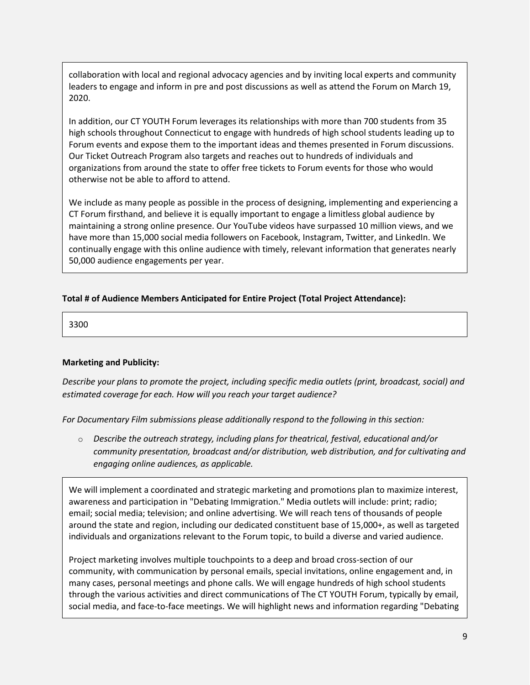collaboration with local and regional advocacy agencies and by inviting local experts and community leaders to engage and inform in pre and post discussions as well as attend the Forum on March 19, 2020.

In addition, our CT YOUTH Forum leverages its relationships with more than 700 students from 35 high schools throughout Connecticut to engage with hundreds of high school students leading up to Forum events and expose them to the important ideas and themes presented in Forum discussions. Our Ticket Outreach Program also targets and reaches out to hundreds of individuals and organizations from around the state to offer free tickets to Forum events for those who would otherwise not be able to afford to attend.

We include as many people as possible in the process of designing, implementing and experiencing a CT Forum firsthand, and believe it is equally important to engage a limitless global audience by maintaining a strong online presence. Our YouTube videos have surpassed 10 million views, and we have more than 15,000 social media followers on Facebook, Instagram, Twitter, and LinkedIn. We continually engage with this online audience with timely, relevant information that generates nearly 50,000 audience engagements per year.

#### **Total # of Audience Members Anticipated for Entire Project (Total Project Attendance):**

3300

#### **Marketing and Publicity:**

*Describe your plans to promote the project, including specific media outlets (print, broadcast, social) and estimated coverage for each. How will you reach your target audience?*

*For Documentary Film submissions please additionally respond to the following in this section:*

o *Describe the outreach strategy, including plans for theatrical, festival, educational and/or community presentation, broadcast and/or distribution, web distribution, and for cultivating and engaging online audiences, as applicable.*

We will implement a coordinated and strategic marketing and promotions plan to maximize interest, awareness and participation in "Debating Immigration." Media outlets will include: print; radio; email; social media; television; and online advertising. We will reach tens of thousands of people around the state and region, including our dedicated constituent base of 15,000+, as well as targeted individuals and organizations relevant to the Forum topic, to build a diverse and varied audience.

Project marketing involves multiple touchpoints to a deep and broad cross-section of our community, with communication by personal emails, special invitations, online engagement and, in many cases, personal meetings and phone calls. We will engage hundreds of high school students through the various activities and direct communications of The CT YOUTH Forum, typically by email, social media, and face-to-face meetings. We will highlight news and information regarding "Debating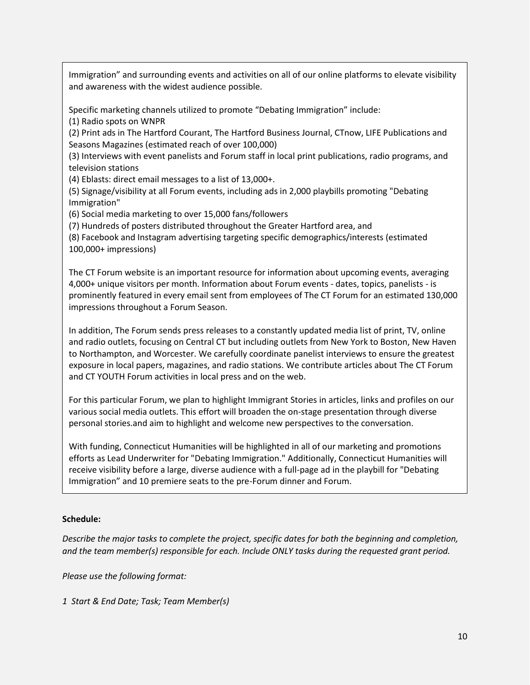Immigration" and surrounding events and activities on all of our online platforms to elevate visibility and awareness with the widest audience possible.

Specific marketing channels utilized to promote "Debating Immigration" include:

(1) Radio spots on WNPR

(2) Print ads in The Hartford Courant, The Hartford Business Journal, CTnow, LIFE Publications and Seasons Magazines (estimated reach of over 100,000)

(3) Interviews with event panelists and Forum staff in local print publications, radio programs, and television stations

(4) Eblasts: direct email messages to a list of 13,000+.

(5) Signage/visibility at all Forum events, including ads in 2,000 playbills promoting "Debating Immigration"

(6) Social media marketing to over 15,000 fans/followers

(7) Hundreds of posters distributed throughout the Greater Hartford area, and

(8) Facebook and Instagram advertising targeting specific demographics/interests (estimated 100,000+ impressions)

The CT Forum website is an important resource for information about upcoming events, averaging 4,000+ unique visitors per month. Information about Forum events - dates, topics, panelists - is prominently featured in every email sent from employees of The CT Forum for an estimated 130,000 impressions throughout a Forum Season.

In addition, The Forum sends press releases to a constantly updated media list of print, TV, online and radio outlets, focusing on Central CT but including outlets from New York to Boston, New Haven to Northampton, and Worcester. We carefully coordinate panelist interviews to ensure the greatest exposure in local papers, magazines, and radio stations. We contribute articles about The CT Forum and CT YOUTH Forum activities in local press and on the web.

For this particular Forum, we plan to highlight Immigrant Stories in articles, links and profiles on our various social media outlets. This effort will broaden the on-stage presentation through diverse personal stories.and aim to highlight and welcome new perspectives to the conversation.

With funding, Connecticut Humanities will be highlighted in all of our marketing and promotions efforts as Lead Underwriter for "Debating Immigration." Additionally, Connecticut Humanities will receive visibility before a large, diverse audience with a full-page ad in the playbill for "Debating Immigration" and 10 premiere seats to the pre-Forum dinner and Forum.

#### **Schedule:**

*Describe the major tasks to complete the project, specific dates for both the beginning and completion, and the team member(s) responsible for each. Include ONLY tasks during the requested grant period.*

*Please use the following format:*

*1 Start & End Date; Task; Team Member(s)*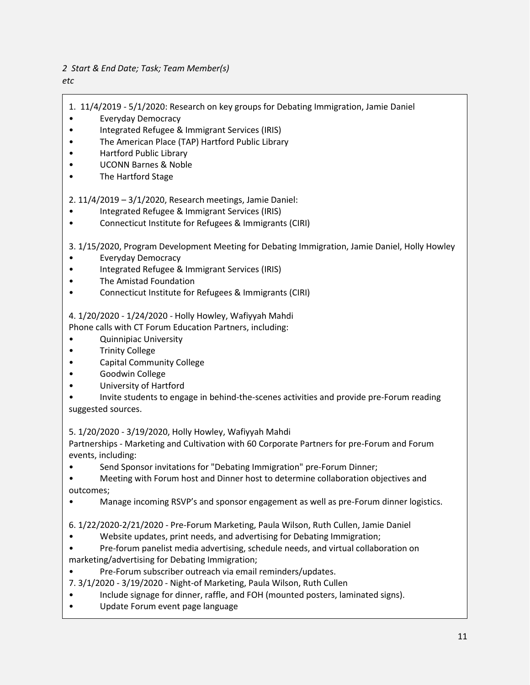#### *2 Start & End Date; Task; Team Member(s)*

#### *etc*

- 1. 11/4/2019 5/1/2020: Research on key groups for Debating Immigration, Jamie Daniel
- Everyday Democracy
- Integrated Refugee & Immigrant Services (IRIS)
- The American Place (TAP) Hartford Public Library
- Hartford Public Library
- UCONN Barnes & Noble
- The Hartford Stage

2. 11/4/2019 – 3/1/2020, Research meetings, Jamie Daniel:

- Integrated Refugee & Immigrant Services (IRIS)
- Connecticut Institute for Refugees & Immigrants (CIRI)

3. 1/15/2020, Program Development Meeting for Debating Immigration, Jamie Daniel, Holly Howley

- Everyday Democracy
- Integrated Refugee & Immigrant Services (IRIS)
- The Amistad Foundation
- Connecticut Institute for Refugees & Immigrants (CIRI)

4. 1/20/2020 - 1/24/2020 - Holly Howley, Wafiyyah Mahdi

Phone calls with CT Forum Education Partners, including:

- Quinnipiac University
- Trinity College
- Capital Community College
- Goodwin College
- University of Hartford
- Invite students to engage in behind-the-scenes activities and provide pre-Forum reading suggested sources.

5. 1/20/2020 - 3/19/2020, Holly Howley, Wafiyyah Mahdi

Partnerships - Marketing and Cultivation with 60 Corporate Partners for pre-Forum and Forum events, including:

• Send Sponsor invitations for "Debating Immigration" pre-Forum Dinner;

• Meeting with Forum host and Dinner host to determine collaboration objectives and outcomes;

• Manage incoming RSVP's and sponsor engagement as well as pre-Forum dinner logistics.

6. 1/22/2020-2/21/2020 - Pre-Forum Marketing, Paula Wilson, Ruth Cullen, Jamie Daniel

- Website updates, print needs, and advertising for Debating Immigration;
- Pre-forum panelist media advertising, schedule needs, and virtual collaboration on marketing/advertising for Debating Immigration;
- Pre-Forum subscriber outreach via email reminders/updates.
- 7. 3/1/2020 3/19/2020 Night-of Marketing, Paula Wilson, Ruth Cullen
- Include signage for dinner, raffle, and FOH (mounted posters, laminated signs).
- Update Forum event page language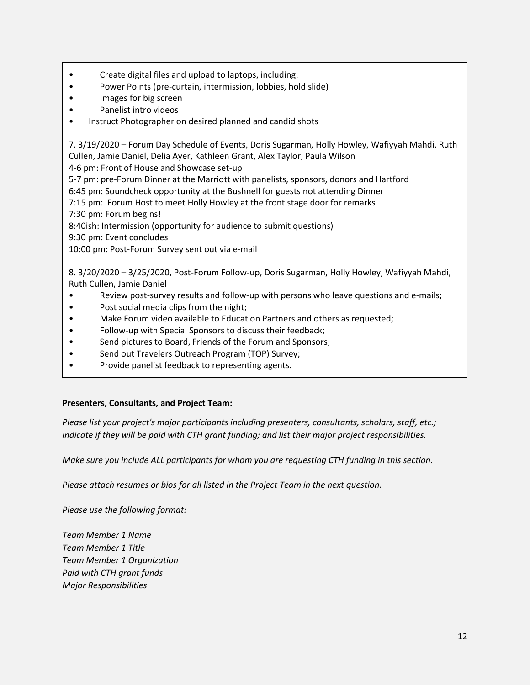- Create digital files and upload to laptops, including:
- Power Points (pre-curtain, intermission, lobbies, hold slide)
- Images for big screen
- Panelist intro videos
- Instruct Photographer on desired planned and candid shots

7. 3/19/2020 – Forum Day Schedule of Events, Doris Sugarman, Holly Howley, Wafiyyah Mahdi, Ruth Cullen, Jamie Daniel, Delia Ayer, Kathleen Grant, Alex Taylor, Paula Wilson

4-6 pm: Front of House and Showcase set-up

5-7 pm: pre-Forum Dinner at the Marriott with panelists, sponsors, donors and Hartford

6:45 pm: Soundcheck opportunity at the Bushnell for guests not attending Dinner

7:15 pm: Forum Host to meet Holly Howley at the front stage door for remarks 7:30 pm: Forum begins!

8:40ish: Intermission (opportunity for audience to submit questions)

9:30 pm: Event concludes

10:00 pm: Post-Forum Survey sent out via e-mail

8. 3/20/2020 – 3/25/2020, Post-Forum Follow-up, Doris Sugarman, Holly Howley, Wafiyyah Mahdi, Ruth Cullen, Jamie Daniel

- Review post-survey results and follow-up with persons who leave questions and e-mails;
- Post social media clips from the night;
- Make Forum video available to Education Partners and others as requested;
- Follow-up with Special Sponsors to discuss their feedback;
- Send pictures to Board, Friends of the Forum and Sponsors;
- Send out Travelers Outreach Program (TOP) Survey;
- Provide panelist feedback to representing agents.

#### **Presenters, Consultants, and Project Team:**

*Please list your project's major participants including presenters, consultants, scholars, staff, etc.; indicate if they will be paid with CTH grant funding; and list their major project responsibilities.*

*Make sure you include ALL participants for whom you are requesting CTH funding in this section.*

*Please attach resumes or bios for all listed in the Project Team in the next question.*

*Please use the following format:*

*Team Member 1 Name Team Member 1 Title Team Member 1 Organization Paid with CTH grant funds Major Responsibilities*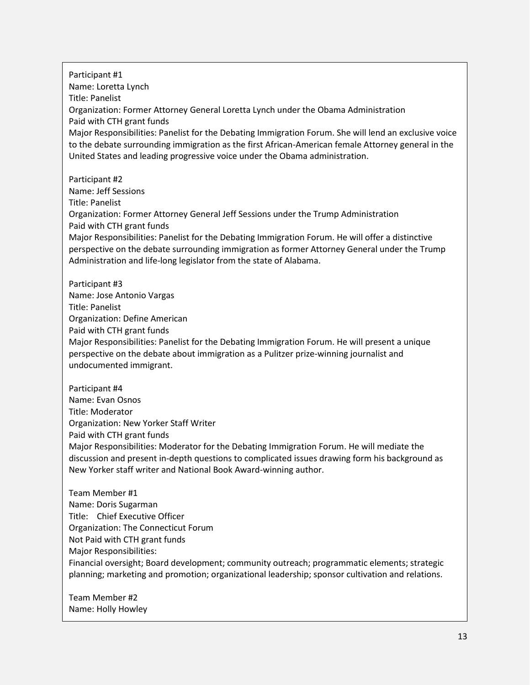Participant #1 Name: Loretta Lynch Title: Panelist Organization: Former Attorney General Loretta Lynch under the Obama Administration Paid with CTH grant funds Major Responsibilities: Panelist for the Debating Immigration Forum. She will lend an exclusive voice to the debate surrounding immigration as the first African-American female Attorney general in the United States and leading progressive voice under the Obama administration. Participant #2 Name: Jeff Sessions Title: Panelist Organization: Former Attorney General Jeff Sessions under the Trump Administration Paid with CTH grant funds Major Responsibilities: Panelist for the Debating Immigration Forum. He will offer a distinctive perspective on the debate surrounding immigration as former Attorney General under the Trump Administration and life-long legislator from the state of Alabama. Participant #3 Name: Jose Antonio Vargas Title: Panelist Organization: Define American Paid with CTH grant funds Major Responsibilities: Panelist for the Debating Immigration Forum. He will present a unique perspective on the debate about immigration as a Pulitzer prize-winning journalist and undocumented immigrant. Participant #4 Name: Evan Osnos Title: Moderator Organization: New Yorker Staff Writer Paid with CTH grant funds Major Responsibilities: Moderator for the Debating Immigration Forum. He will mediate the discussion and present in-depth questions to complicated issues drawing form his background as New Yorker staff writer and National Book Award-winning author. Team Member #1 Name: Doris Sugarman Title: Chief Executive Officer Organization: The Connecticut Forum Not Paid with CTH grant funds

Major Responsibilities:

Financial oversight; Board development; community outreach; programmatic elements; strategic planning; marketing and promotion; organizational leadership; sponsor cultivation and relations.

Team Member #2 Name: Holly Howley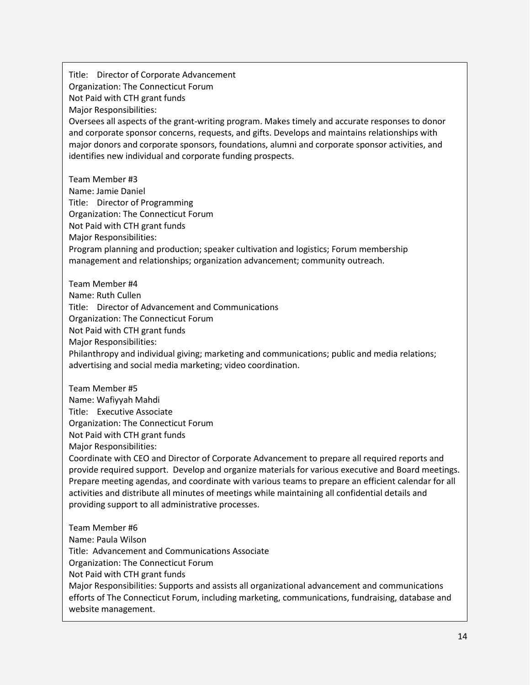Title: Director of Corporate Advancement Organization: The Connecticut Forum Not Paid with CTH grant funds Major Responsibilities: Oversees all aspects of the grant-writing program. Makes timely and accurate responses to donor and corporate sponsor concerns, requests, and gifts. Develops and maintains relationships with major donors and corporate sponsors, foundations, alumni and corporate sponsor activities, and identifies new individual and corporate funding prospects. Team Member #3 Name: Jamie Daniel Title: Director of Programming Organization: The Connecticut Forum Not Paid with CTH grant funds Major Responsibilities: Program planning and production; speaker cultivation and logistics; Forum membership management and relationships; organization advancement; community outreach. Team Member #4 Name: Ruth Cullen Title: Director of Advancement and Communications Organization: The Connecticut Forum Not Paid with CTH grant funds Major Responsibilities: Philanthropy and individual giving; marketing and communications; public and media relations; advertising and social media marketing; video coordination. Team Member #5 Name: Wafiyyah Mahdi Title: Executive Associate Organization: The Connecticut Forum Not Paid with CTH grant funds Major Responsibilities: Coordinate with CEO and Director of Corporate Advancement to prepare all required reports and provide required support. Develop and organize materials for various executive and Board meetings. Prepare meeting agendas, and coordinate with various teams to prepare an efficient calendar for all activities and distribute all minutes of meetings while maintaining all confidential details and providing support to all administrative processes. Team Member #6 Name: Paula Wilson Title: Advancement and Communications Associate Organization: The Connecticut Forum Not Paid with CTH grant funds Major Responsibilities: Supports and assists all organizational advancement and communications efforts of The Connecticut Forum, including marketing, communications, fundraising, database and website management.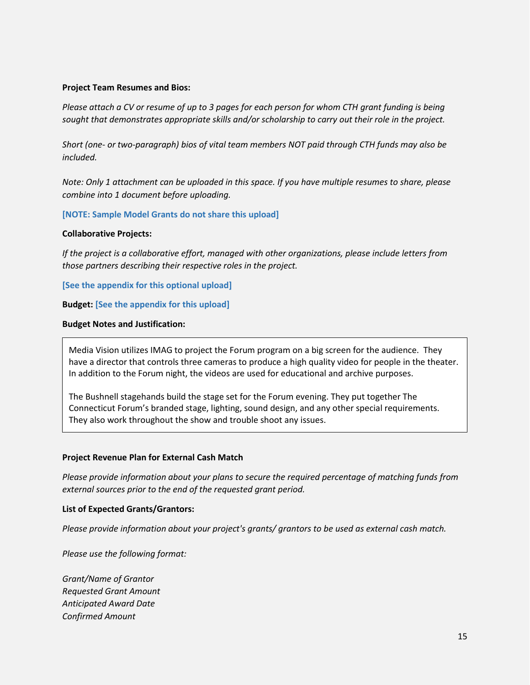#### **Project Team Resumes and Bios:**

*Please attach a CV or resume of up to 3 pages for each person for whom CTH grant funding is being sought that demonstrates appropriate skills and/or scholarship to carry out their role in the project.*

*Short (one- or two-paragraph) bios of vital team members NOT paid through CTH funds may also be included.*

*Note: Only 1 attachment can be uploaded in this space. If you have multiple resumes to share, please combine into 1 document before uploading.*

#### **[NOTE: Sample Model Grants do not share this upload]**

#### **Collaborative Projects:**

*If the project is a collaborative effort, managed with other organizations, please include letters from those partners describing their respective roles in the project.*

**[See the appendix for this optional upload]**

**Budget: [See the appendix for this upload]**

#### **Budget Notes and Justification:**

Media Vision utilizes IMAG to project the Forum program on a big screen for the audience. They have a director that controls three cameras to produce a high quality video for people in the theater. In addition to the Forum night, the videos are used for educational and archive purposes.

The Bushnell stagehands build the stage set for the Forum evening. They put together The Connecticut Forum's branded stage, lighting, sound design, and any other special requirements. They also work throughout the show and trouble shoot any issues.

#### **Project Revenue Plan for External Cash Match**

*Please provide information about your plans to secure the required percentage of matching funds from external sources prior to the end of the requested grant period.*

#### **List of Expected Grants/Grantors:**

*Please provide information about your project's grants/ grantors to be used as external cash match.*

*Please use the following format:*

*Grant/Name of Grantor Requested Grant Amount Anticipated Award Date Confirmed Amount*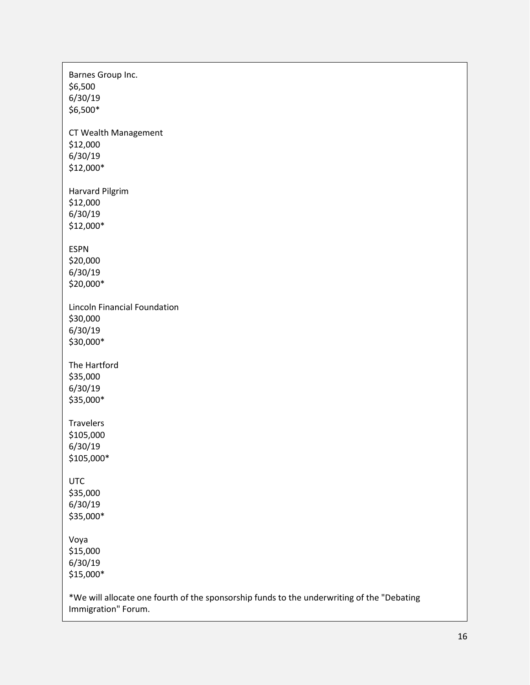| Barnes Group Inc.<br>\$6,500<br>6/30/19<br>\$6,500*                                                               |
|-------------------------------------------------------------------------------------------------------------------|
| CT Wealth Management<br>\$12,000<br>6/30/19<br>\$12,000*                                                          |
| <b>Harvard Pilgrim</b><br>\$12,000<br>6/30/19<br>\$12,000*                                                        |
| <b>ESPN</b><br>\$20,000<br>6/30/19<br>\$20,000*                                                                   |
| <b>Lincoln Financial Foundation</b><br>\$30,000<br>6/30/19<br>\$30,000*                                           |
| The Hartford<br>\$35,000<br>6/30/19<br>\$35,000*                                                                  |
| <b>Travelers</b><br>\$105,000<br>6/30/19<br>\$105,000*                                                            |
| <b>UTC</b><br>\$35,000<br>6/30/19<br>\$35,000*                                                                    |
| Voya<br>\$15,000<br>6/30/19<br>\$15,000*                                                                          |
| *We will allocate one fourth of the sponsorship funds to the underwriting of the "Debating<br>Immigration" Forum. |

 $\mathsf{r}$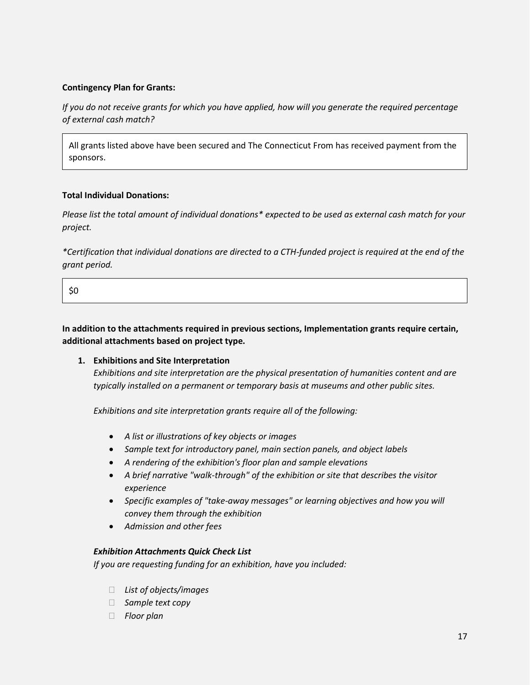#### **Contingency Plan for Grants:**

*If you do not receive grants for which you have applied, how will you generate the required percentage of external cash match?*

All grants listed above have been secured and The Connecticut From has received payment from the sponsors.

#### **Total Individual Donations:**

*Please list the total amount of individual donations\* expected to be used as external cash match for your project.*

*\*Certification that individual donations are directed to a CTH-funded project is required at the end of the grant period.*

```
$0
```
**In addition to the attachments required in previous sections, Implementation grants require certain, additional attachments based on project type.**

#### **1. Exhibitions and Site Interpretation**

*Exhibitions and site interpretation are the physical presentation of humanities content and are typically installed on a permanent or temporary basis at museums and other public sites.*

*Exhibitions and site interpretation grants require all of the following:*

- *A list or illustrations of key objects or images*
- *Sample text for introductory panel, main section panels, and object labels*
- *A rendering of the exhibition's floor plan and sample elevations*
- *A brief narrative "walk-through" of the exhibition or site that describes the visitor experience*
- *Specific examples of "take-away messages" or learning objectives and how you will convey them through the exhibition*
- *Admission and other fees*

#### *Exhibition Attachments Quick Check List*

*If you are requesting funding for an exhibition, have you included:*

- *List of objects/images*
- *Sample text copy*
- *Floor plan*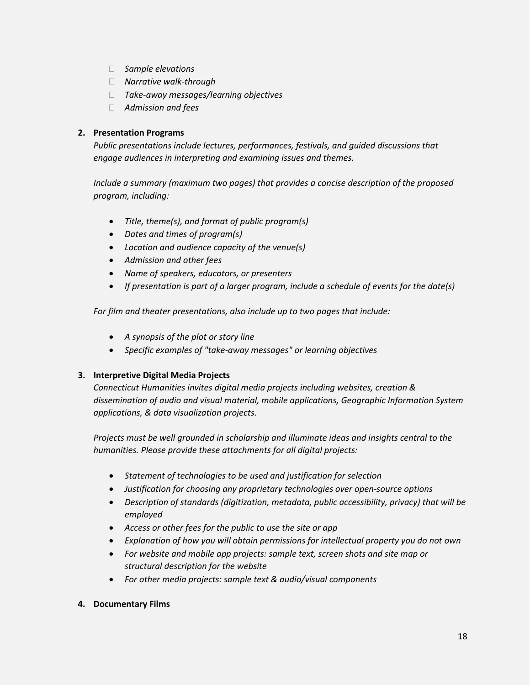- *Sample elevations*
- *Narrative walk-through*
- *Take-away messages/learning objectives*
- *Admission and fees*

#### **2. Presentation Programs**

*Public presentations include lectures, performances, festivals, and guided discussions that engage audiences in interpreting and examining issues and themes.*

*Include a summary (maximum two pages) that provides a concise description of the proposed program, including:*

- *Title, theme(s), and format of public program(s)*
- *Dates and times of program(s)*
- *Location and audience capacity of the venue(s)*
- *Admission and other fees*
- *Name of speakers, educators, or presenters*
- *If presentation is part of a larger program, include a schedule of events for the date(s)*

*For film and theater presentations, also include up to two pages that include:*

- *A synopsis of the plot or story line*
- *Specific examples of "take-away messages" or learning objectives*

#### **3. Interpretive Digital Media Projects**

*Connecticut Humanities invites digital media projects including websites, creation & dissemination of audio and visual material, mobile applications, Geographic Information System applications, & data visualization projects.*

*Projects must be well grounded in scholarship and illuminate ideas and insights central to the humanities. Please provide these attachments for all digital projects:*

- *Statement of technologies to be used and justification for selection*
- *Justification for choosing any proprietary technologies over open-source options*
- *Description of standards (digitization, metadata, public accessibility, privacy) that will be employed*
- *Access or other fees for the public to use the site or app*
- *Explanation of how you will obtain permissions for intellectual property you do not own*
- *For website and mobile app projects: sample text, screen shots and site map or structural description for the website*
- *For other media projects: sample text & audio/visual components*

#### **4. Documentary Films**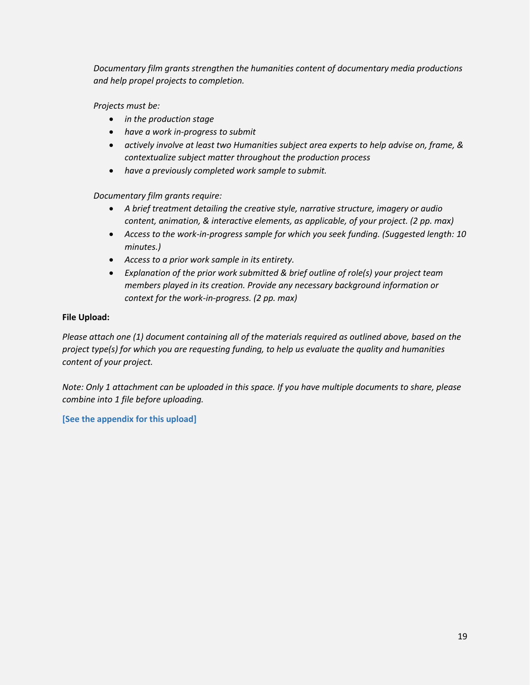*Documentary film grants strengthen the humanities content of documentary media productions and help propel projects to completion.*

*Projects must be:*

- *in the production stage*
- *have a work in-progress to submit*
- *actively involve at least two Humanities subject area experts to help advise on, frame, & contextualize subject matter throughout the production process*
- *have a previously completed work sample to submit.*

*Documentary film grants require:*

- *A brief treatment detailing the creative style, narrative structure, imagery or audio content, animation, & interactive elements, as applicable, of your project. (2 pp. max)*
- *Access to the work-in-progress sample for which you seek funding. (Suggested length: 10 minutes.)*
- *Access to a prior work sample in its entirety.*
- *Explanation of the prior work submitted & brief outline of role(s) your project team members played in its creation. Provide any necessary background information or context for the work-in-progress. (2 pp. max)*

#### **File Upload:**

*Please attach one (1) document containing all of the materials required as outlined above, based on the project type(s) for which you are requesting funding, to help us evaluate the quality and humanities content of your project.*

*Note: Only 1 attachment can be uploaded in this space. If you have multiple documents to share, please combine into 1 file before uploading.*

**[See the appendix for this upload]**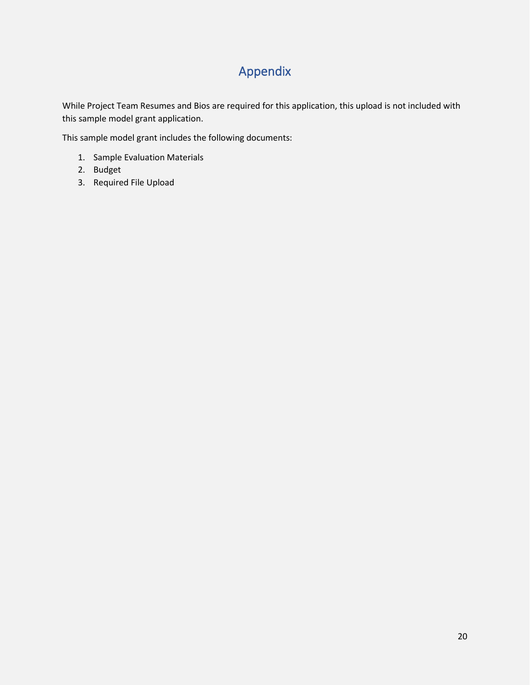## Appendix

While Project Team Resumes and Bios are required for this application, this upload is not included with this sample model grant application.

This sample model grant includes the following documents:

- 1. Sample Evaluation Materials
- 2. Budget
- 3. Required File Upload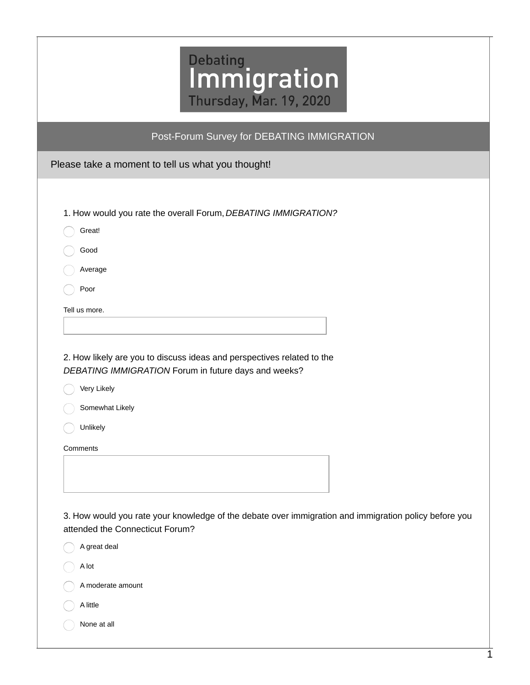| Post-Forum Survey for DEBATING IMMIGRATION                                                                                                                                   |
|------------------------------------------------------------------------------------------------------------------------------------------------------------------------------|
| Please take a moment to tell us what you thought!                                                                                                                            |
| 1. How would you rate the overall Forum, DEBATING IMMIGRATION?<br>Great!                                                                                                     |
| Good<br>Average                                                                                                                                                              |
| Poor                                                                                                                                                                         |
| Tell us more.                                                                                                                                                                |
|                                                                                                                                                                              |
| 2. How likely are you to discuss ideas and perspectives related to the<br>DEBATING IMMIGRATION Forum in future days and weeks?<br>Very Likely<br>Somewhat Likely<br>Unlikely |
| Comments                                                                                                                                                                     |
| 3. How would you rate your knowledge of the debate over immigration and immigration policy before you<br>attended the Connecticut Forum?                                     |
| A great deal                                                                                                                                                                 |
| A lot                                                                                                                                                                        |
| A moderate amount                                                                                                                                                            |
| A little                                                                                                                                                                     |
| None at all                                                                                                                                                                  |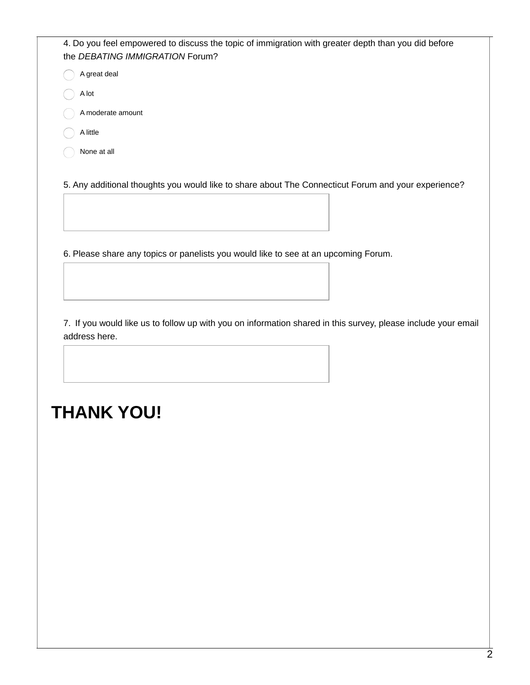| 4. Do you feel empowered to discuss the topic of immigration with greater depth than you did before<br>the DEBATING IMMIGRATION Forum? |  |
|----------------------------------------------------------------------------------------------------------------------------------------|--|
| A great deal                                                                                                                           |  |
| A lot                                                                                                                                  |  |
| A moderate amount                                                                                                                      |  |
| A little                                                                                                                               |  |
| None at all                                                                                                                            |  |
|                                                                                                                                        |  |

5. Any additional thoughts you would like to share about The Connecticut Forum and your experience?

6. Please share any topics or panelists you would like to see at an upcoming Forum.

7. If you would like us to follow up with you on information shared in this survey, please include your email address here.

# **THANK YOU!**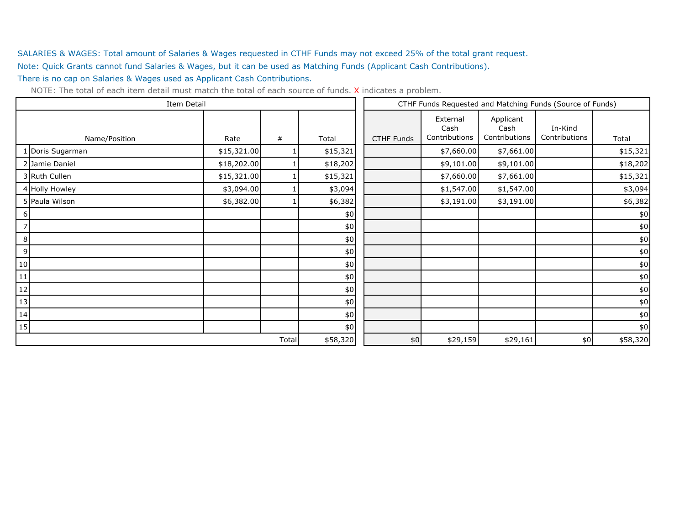SALARIES & WAGES: Total amount of Salaries & Wages requested in CTHF Funds may not exceed 25% of the total grant request. Note: Quick Grants cannot fund Salaries & Wages, but it can be used as Matching Funds (Applicant Cash Contributions). There is no cap on Salaries & Wages used as Applicant Cash Contributions.

|    | Item Detail      |             |       |          | CTHF Funds Requested and Matching Funds (Source of Funds) |                                   |                                    |                          |          |
|----|------------------|-------------|-------|----------|-----------------------------------------------------------|-----------------------------------|------------------------------------|--------------------------|----------|
|    | Name/Position    | Rate        | #     | Total    | <b>CTHF Funds</b>                                         | External<br>Cash<br>Contributions | Applicant<br>Cash<br>Contributions | In-Kind<br>Contributions | Total    |
|    | 1 Doris Sugarman | \$15,321.00 |       | \$15,321 |                                                           | \$7,660.00                        | \$7,661.00                         |                          | \$15,321 |
|    | 2 Jamie Daniel   | \$18,202.00 |       | \$18,202 |                                                           | \$9,101.00                        | \$9,101.00                         |                          | \$18,202 |
|    | 3 Ruth Cullen    | \$15,321.00 |       | \$15,321 |                                                           | \$7,660.00                        | \$7,661.00                         |                          | \$15,321 |
|    | 4 Holly Howley   | \$3,094.00  |       | \$3,094  |                                                           | \$1,547.00                        | \$1,547.00                         |                          | \$3,094  |
|    | 5 Paula Wilson   | \$6,382.00  |       | \$6,382  |                                                           | \$3,191.00                        | \$3,191.00                         |                          | \$6,382  |
| 6  |                  |             |       | \$0      |                                                           |                                   |                                    |                          | \$0      |
|    |                  |             |       | $\$0$    |                                                           |                                   |                                    |                          | $\$0$    |
| 8  |                  |             |       | $\$0$    |                                                           |                                   |                                    |                          | $$0$$    |
| 9  |                  |             |       | \$0      |                                                           |                                   |                                    |                          | $\$0$    |
| 10 |                  |             |       | $\$0$    |                                                           |                                   |                                    |                          | $\$0$    |
| 11 |                  |             |       | \$0      |                                                           |                                   |                                    |                          | $\$0$    |
| 12 |                  |             |       | $$0$$    |                                                           |                                   |                                    |                          | $\$0$    |
| 13 |                  |             |       | $$0$$    |                                                           |                                   |                                    |                          | $\$0$    |
| 14 |                  |             |       | $\$0$    |                                                           |                                   |                                    |                          | $\$0$    |
| 15 |                  |             |       | $$0$$    |                                                           |                                   |                                    |                          | $\$0$    |
|    |                  |             | Total | \$58,320 | \$0                                                       | \$29,159                          | \$29,161                           | \$0                      | \$58,320 |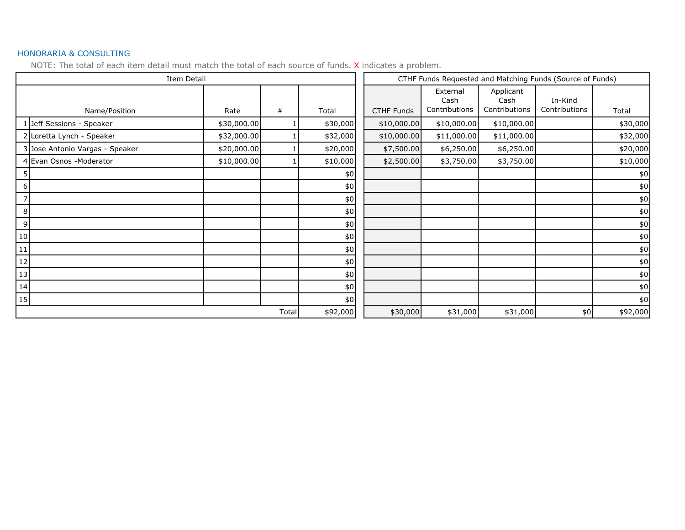#### HONORARIA & CONSULTING

| Item Detail                     |             |       |          |                   | CTHF Funds Requested and Matching Funds (Source of Funds) |                                    |                          |          |  |
|---------------------------------|-------------|-------|----------|-------------------|-----------------------------------------------------------|------------------------------------|--------------------------|----------|--|
| Name/Position                   | Rate        | #     | Total    | <b>CTHF Funds</b> | External<br>Cash<br>Contributions                         | Applicant<br>Cash<br>Contributions | In-Kind<br>Contributions | Total    |  |
| 1 Jeff Sessions - Speaker       | \$30,000.00 |       | \$30,000 | \$10,000.00       | \$10,000.00                                               | \$10,000.00                        |                          | \$30,000 |  |
| 2 Loretta Lynch - Speaker       | \$32,000.00 |       | \$32,000 | \$10,000.00       | \$11,000.00                                               | \$11,000.00                        |                          | \$32,000 |  |
| 3 Jose Antonio Vargas - Speaker | \$20,000.00 |       | \$20,000 | \$7,500.00        | \$6,250.00                                                | \$6,250.00                         |                          | \$20,000 |  |
| 4 Evan Osnos - Moderator        | \$10,000.00 |       | \$10,000 | \$2,500.00        | \$3,750.00                                                | \$3,750.00                         |                          | \$10,000 |  |
|                                 |             |       | $$0$$    |                   |                                                           |                                    |                          | $$0$$    |  |
| 6                               |             |       | $$0$$    |                   |                                                           |                                    |                          | $$0$$    |  |
| 7                               |             |       | $$0$$    |                   |                                                           |                                    |                          | $$0\,$   |  |
| 8                               |             |       | $\$0$    |                   |                                                           |                                    |                          | $\$0$    |  |
| 9                               |             |       | $$0$$    |                   |                                                           |                                    |                          | $\$0$    |  |
| 10                              |             |       | $$0$$    |                   |                                                           |                                    |                          | $$0\,$   |  |
| $11\,$                          |             |       | $$0$$    |                   |                                                           |                                    |                          | $$0$$    |  |
| 12                              |             |       | $$0$$    |                   |                                                           |                                    |                          | $\$0$    |  |
| 13                              |             |       | $$0$$    |                   |                                                           |                                    |                          | $\$0$    |  |
| 14                              |             |       | $$0$$    |                   |                                                           |                                    |                          | $\$0$    |  |
| 15                              |             |       | $$0$$    |                   |                                                           |                                    |                          | $$0$$    |  |
|                                 |             | Total | \$92,000 | \$30,000          | \$31,000                                                  | \$31,000                           | \$0                      | \$92,000 |  |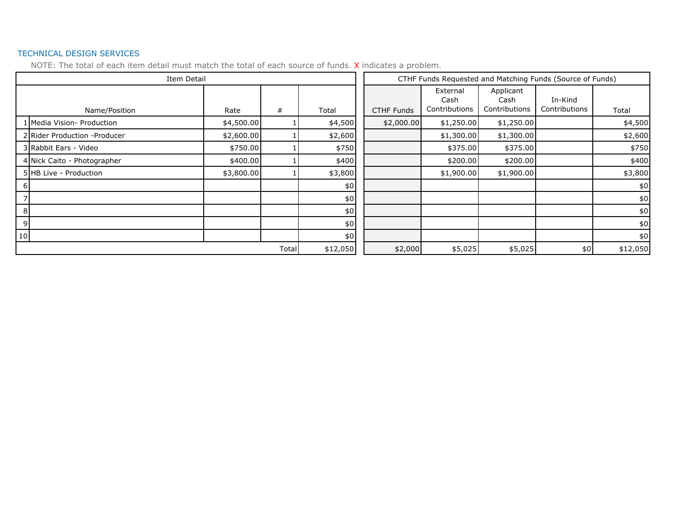#### TECHNICAL DESIGN SERVICES

|    |                               | Item Detail |   |         |                   |                                   |                                    | CTHF Funds Requested and Matching Funds (Source of Funds) |          |  |  |  |
|----|-------------------------------|-------------|---|---------|-------------------|-----------------------------------|------------------------------------|-----------------------------------------------------------|----------|--|--|--|
|    | Name/Position                 | Rate        | # | Total   | <b>CTHF Funds</b> | External<br>Cash<br>Contributions | Applicant<br>Cash<br>Contributions | In-Kind<br>Contributions                                  | Total    |  |  |  |
|    | 1 Media Vision- Production    | \$4,500.00  |   | \$4,500 | \$2,000.00        | \$1,250.00                        | \$1,250.00                         |                                                           | \$4,500  |  |  |  |
|    | 2 Rider Production - Producer | \$2,600.00  |   | \$2,600 |                   | \$1,300.00                        | \$1,300.00                         |                                                           | \$2,600  |  |  |  |
|    | 3 Rabbit Ears - Video         | \$750.00    |   | \$750   |                   | \$375.00                          | \$375.00                           |                                                           | \$750    |  |  |  |
|    | 4 Nick Caito - Photographer   | \$400.00    |   | \$400   |                   | \$200.00                          | \$200.00                           |                                                           | \$400    |  |  |  |
|    | 5 HB Live - Production        | \$3,800.00  |   | \$3,800 |                   | \$1,900.00                        | \$1,900.00                         |                                                           | \$3,800  |  |  |  |
| h  |                               |             |   | \$0     |                   |                                   |                                    |                                                           | \$0      |  |  |  |
|    |                               |             |   | \$0     |                   |                                   |                                    |                                                           | \$0      |  |  |  |
| 8  |                               |             |   | \$0     |                   |                                   |                                    |                                                           | \$0      |  |  |  |
| 9  |                               |             |   | \$0     |                   |                                   |                                    |                                                           | \$0      |  |  |  |
| 10 |                               |             |   | $$0$$   |                   |                                   |                                    |                                                           | \$0      |  |  |  |
|    | Total                         |             |   |         | \$2,000           | \$5,025                           | \$5,025                            | \$0                                                       | \$12,050 |  |  |  |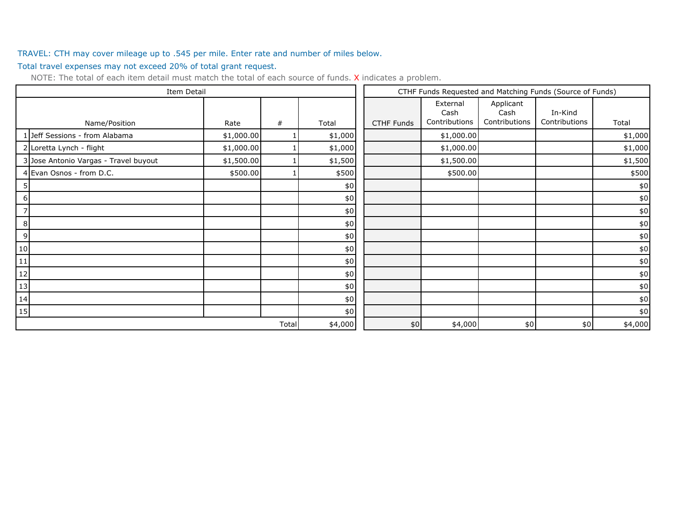#### TRAVEL: CTH may cover mileage up to .545 per mile. Enter rate and number of miles below.

Total travel expenses may not exceed 20% of total grant request.

| Item Detail                           |            |       |         | CTHF Funds Requested and Matching Funds (Source of Funds) |                                   |                                    |                          |         |
|---------------------------------------|------------|-------|---------|-----------------------------------------------------------|-----------------------------------|------------------------------------|--------------------------|---------|
|                                       |            |       |         |                                                           | External<br>Cash<br>Contributions | Applicant<br>Cash<br>Contributions | In-Kind<br>Contributions |         |
| Name/Position                         | Rate       | #     | Total   | <b>CTHF Funds</b>                                         |                                   |                                    |                          | Total   |
| 1 Jeff Sessions - from Alabama        | \$1,000.00 |       | \$1,000 |                                                           | \$1,000.00                        |                                    |                          | \$1,000 |
| 2 Loretta Lynch - flight              | \$1,000.00 |       | \$1,000 |                                                           | \$1,000.00                        |                                    |                          | \$1,000 |
| 3 Jose Antonio Vargas - Travel buyout | \$1,500.00 |       | \$1,500 |                                                           | \$1,500.00                        |                                    |                          | \$1,500 |
| 4 Evan Osnos - from D.C.              | \$500.00   |       | \$500   |                                                           | \$500.00                          |                                    |                          | \$500   |
|                                       |            |       | \$0     |                                                           |                                   |                                    |                          | \$0     |
| 6 I                                   |            |       | $$0\,$  |                                                           |                                   |                                    |                          | \$0     |
| 7                                     |            |       | $\$0$   |                                                           |                                   |                                    |                          | \$0     |
| 8                                     |            |       | \$0     |                                                           |                                   |                                    |                          | $$0$$   |
| 9                                     |            |       | \$0     |                                                           |                                   |                                    |                          | $$0\,$  |
| 10                                    |            |       | $$0\,$  |                                                           |                                   |                                    |                          | $$0$$   |
| 11                                    |            |       | $$0$$   |                                                           |                                   |                                    |                          | \$0     |
| 12                                    |            |       | $$0\,$  |                                                           |                                   |                                    |                          | \$0     |
| 13                                    |            |       | $$0$$   |                                                           |                                   |                                    |                          | $$0\,$  |
| 14                                    |            |       | \$0     |                                                           |                                   |                                    |                          | $$0\,$  |
| 15                                    |            |       | $$0$$   |                                                           |                                   |                                    |                          | \$0     |
|                                       |            | Total | \$4,000 | \$0                                                       | \$4,000                           | \$0                                | \$0                      | \$4,000 |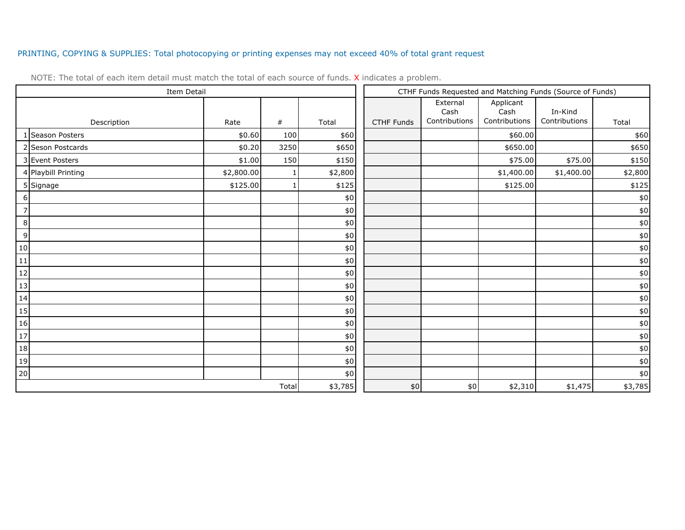#### PRINTING, COPYING & SUPPLIES: Total photocopying or printing expenses may not exceed 40% of total grant request

| Item Detail         |            |       |         | CTHF Funds Requested and Matching Funds (Source of Funds) |                                   |                                    |                          |         |
|---------------------|------------|-------|---------|-----------------------------------------------------------|-----------------------------------|------------------------------------|--------------------------|---------|
| Description         | Rate       | $\#$  | Total   | <b>CTHF Funds</b>                                         | External<br>Cash<br>Contributions | Applicant<br>Cash<br>Contributions | In-Kind<br>Contributions | Total   |
| 1 Season Posters    | \$0.60     | 100   | \$60    |                                                           |                                   | \$60.00                            |                          | \$60    |
| 2 Seson Postcards   | \$0.20     | 3250  | \$650   |                                                           |                                   | \$650.00                           |                          | \$650   |
| 3 Event Posters     | \$1.00     | 150   | \$150   |                                                           |                                   | \$75.00                            | \$75.00                  | \$150   |
| 4 Playbill Printing | \$2,800.00 |       | \$2,800 |                                                           |                                   | \$1,400.00                         | \$1,400.00               | \$2,800 |
| 5 Signage           | \$125.00   |       | \$125   |                                                           |                                   | \$125.00                           |                          | \$125   |
| $6 \mid$            |            |       | $\$0$   |                                                           |                                   |                                    |                          | \$0     |
| $\overline{7}$      |            |       | $$0$$   |                                                           |                                   |                                    |                          | $\$0$   |
| $\,8\,$             |            |       | $\$0$   |                                                           |                                   |                                    |                          | $$0$    |
| 9                   |            |       | $\$0$   |                                                           |                                   |                                    |                          | $$0$    |
| 10                  |            |       | $$0\,$  |                                                           |                                   |                                    |                          | $$0$    |
| $\overline{11}$     |            |       | $\$0$   |                                                           |                                   |                                    |                          | $$0$$   |
| $\boxed{12}$        |            |       | $\$0$   |                                                           |                                   |                                    |                          | $$0$    |
| 13                  |            |       | $$0$$   |                                                           |                                   |                                    |                          | $$0\,$  |
| 14                  |            |       | $$0\,$  |                                                           |                                   |                                    |                          | $$0$    |
| 15                  |            |       | $$0$$   |                                                           |                                   |                                    |                          | $\$0$   |
| $\frac{16}{1}$      |            |       | $$0\,$  |                                                           |                                   |                                    |                          | $$0$    |
| 17                  |            |       | $$0$$   |                                                           |                                   |                                    |                          | $$0$    |
| 18                  |            |       | $$0\,$  |                                                           |                                   |                                    |                          | \$0     |
| 19                  |            |       | $$0$$   |                                                           |                                   |                                    |                          | $$0$    |
| 20                  |            |       | $$0$$   |                                                           |                                   |                                    |                          | $$0$$   |
|                     |            | Total | \$3,785 | $$0$$                                                     | \$0                               | \$2,310                            | \$1,475                  | \$3,785 |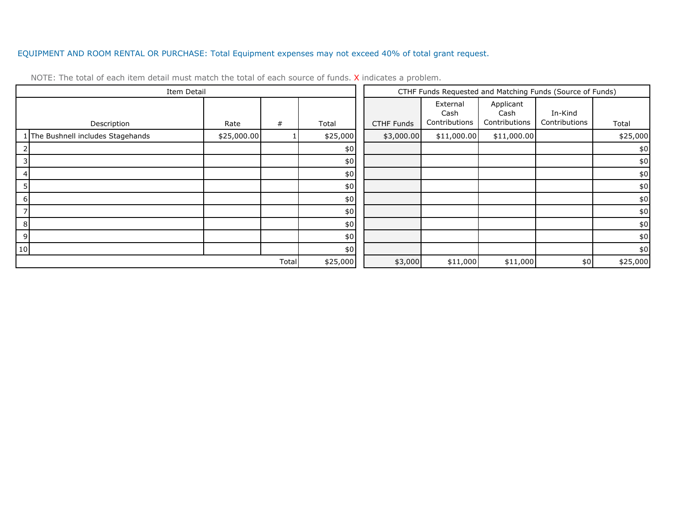#### EQUIPMENT AND ROOM RENTAL OR PURCHASE: Total Equipment expenses may not exceed 40% of total grant request.

| Item Detail                        |             |       |          |                   | CTHF Funds Requested and Matching Funds (Source of Funds) |                                    |                          |          |
|------------------------------------|-------------|-------|----------|-------------------|-----------------------------------------------------------|------------------------------------|--------------------------|----------|
| Description                        | Rate        | #     | Total    | <b>CTHF Funds</b> | External<br>Cash<br>Contributions                         | Applicant<br>Cash<br>Contributions | In-Kind<br>Contributions | Total    |
| 1 The Bushnell includes Stagehands | \$25,000.00 |       | \$25,000 | \$3,000.00        | \$11,000.00                                               | \$11,000.00                        |                          | \$25,000 |
|                                    |             |       | \$0      |                   |                                                           |                                    |                          | \$0      |
|                                    |             |       | $$0$$    |                   |                                                           |                                    |                          | \$0      |
| 4                                  |             |       | \$0      |                   |                                                           |                                    |                          | \$0      |
|                                    |             |       | \$0      |                   |                                                           |                                    |                          | \$0      |
| -6                                 |             |       | \$0      |                   |                                                           |                                    |                          | \$0      |
|                                    |             |       | \$0      |                   |                                                           |                                    |                          | \$0      |
| 8                                  |             |       | \$0      |                   |                                                           |                                    |                          | \$0      |
| 9                                  |             |       | \$0      |                   |                                                           |                                    |                          | \$0      |
| 10                                 |             |       | \$0      |                   |                                                           |                                    |                          | \$0      |
|                                    |             | Total | \$25,000 | \$3,000           | \$11,000                                                  | \$11,000                           | \$0                      | \$25,000 |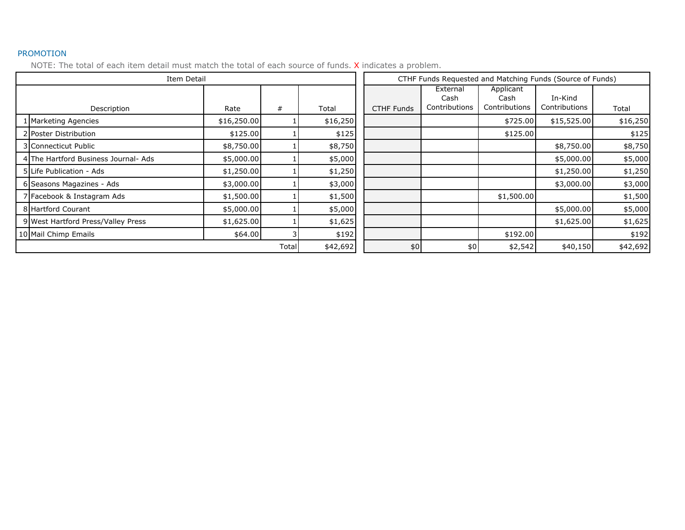#### PROMOTION

|             | Item Detail                          |             |   |          | CTHF Funds Requested and Matching Funds (Source of Funds) |                                   |                                    |                          |          |
|-------------|--------------------------------------|-------------|---|----------|-----------------------------------------------------------|-----------------------------------|------------------------------------|--------------------------|----------|
| Description |                                      | Rate        | # | Total    | <b>CTHF Funds</b>                                         | External<br>Cash<br>Contributions | Applicant<br>Cash<br>Contributions | In-Kind<br>Contributions | Total    |
|             | 1 Marketing Agencies                 | \$16,250.00 |   | \$16,250 |                                                           |                                   | \$725.00                           | \$15,525.00              | \$16,250 |
|             | 2 Poster Distribution                | \$125.00    |   | \$125    |                                                           |                                   | \$125.00                           |                          | \$125    |
|             | 3 Connecticut Public                 | \$8,750.00  |   | \$8,750  |                                                           |                                   |                                    | \$8,750.00               | \$8,750  |
|             | 4 The Hartford Business Journal- Ads | \$5,000.00  |   | \$5,000  |                                                           |                                   |                                    | \$5,000.00               | \$5,000  |
|             | 5 Life Publication - Ads             | \$1,250.00  |   | \$1,250  |                                                           |                                   |                                    | \$1,250.00               | \$1,250  |
|             | 6 Seasons Magazines - Ads            | \$3,000.00  |   | \$3,000  |                                                           |                                   |                                    | \$3,000.00               | \$3,000  |
|             | 7 Facebook & Instagram Ads           | \$1,500.00  |   | \$1,500  |                                                           |                                   | \$1,500.00                         |                          | \$1,500  |
|             | 8 Hartford Courant                   | \$5,000.00  |   | \$5,000  |                                                           |                                   |                                    | \$5,000.00               | \$5,000  |
|             | 9 West Hartford Press/Valley Press   | \$1,625.00  |   | \$1,625  |                                                           |                                   |                                    | \$1,625.00               | \$1,625  |
|             | 10 Mail Chimp Emails                 | \$64.00     |   | \$192    |                                                           |                                   | \$192.00                           |                          | \$192    |
|             | Total                                |             |   | \$42,692 | \$0                                                       | \$0                               | \$2,542                            | \$40,150                 | \$42,692 |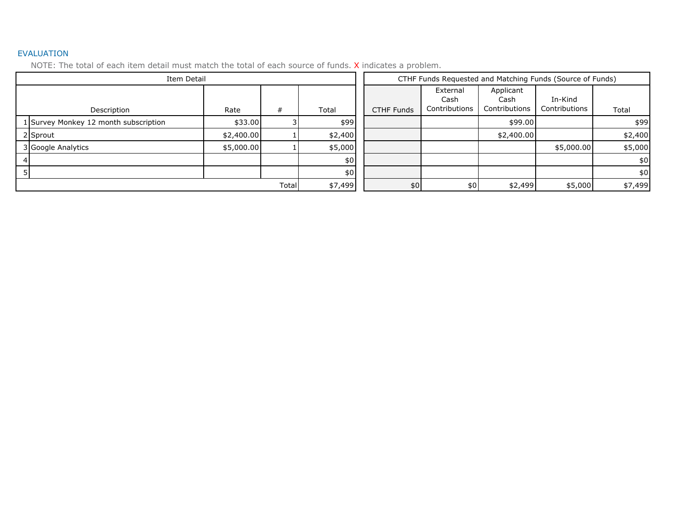#### EVALUATION

| Item Detail                           |            |   |         |         | CTHF Funds Requested and Matching Funds (Source of Funds) |                                   |                                    |                          |         |  |
|---------------------------------------|------------|---|---------|---------|-----------------------------------------------------------|-----------------------------------|------------------------------------|--------------------------|---------|--|
| Description                           | Rate       | # | Total   |         | <b>CTHF Funds</b>                                         | External<br>Cash<br>Contributions | Applicant<br>Cash<br>Contributions | In-Kind<br>Contributions | Total   |  |
| 1 Survey Monkey 12 month subscription | \$33.00    |   | \$99    |         |                                                           |                                   | \$99.00                            |                          | \$99    |  |
| 2 Sprout                              | \$2,400.00 |   | \$2,400 |         |                                                           |                                   | \$2,400.00                         |                          | \$2,400 |  |
| 3 Google Analytics                    | \$5,000.00 |   | \$5,000 |         |                                                           |                                   |                                    | \$5,000.00               | \$5,000 |  |
|                                       |            |   | \$0     |         |                                                           |                                   |                                    |                          | \$0     |  |
|                                       |            |   | \$0     |         |                                                           |                                   |                                    |                          | \$0     |  |
| Total                                 |            |   |         | \$7,499 | \$0                                                       | \$0                               | \$2,499                            | \$5,000                  | \$7,499 |  |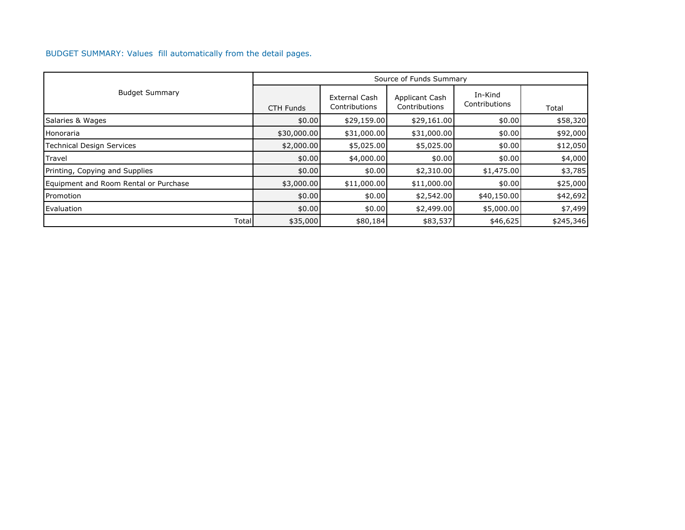#### BUDGET SUMMARY: Values fill automatically from the detail pages.

|                                       |                  |                                       | Source of Funds Summary         |                          |           |
|---------------------------------------|------------------|---------------------------------------|---------------------------------|--------------------------|-----------|
| <b>Budget Summary</b>                 | <b>CTH Funds</b> | <b>External Cash</b><br>Contributions | Applicant Cash<br>Contributions | In-Kind<br>Contributions | Total     |
| Salaries & Wages                      | \$0.00           | \$29,159.00                           | \$29,161.00                     | \$0.00                   | \$58,320  |
| Honoraria                             | \$30,000.00      | \$31,000.00                           | \$31,000.00                     | \$0.00                   | \$92,000  |
| Technical Design Services             | \$2,000.00       | \$5,025.00                            | \$5,025.00                      | \$0.00                   | \$12,050  |
| Travel                                | \$0.00           | \$4,000.00                            | \$0.00                          | \$0.00                   | \$4,000   |
| Printing, Copying and Supplies        | \$0.00           | \$0.00                                | \$2,310.00                      | \$1,475.00               | \$3,785   |
| Equipment and Room Rental or Purchase | \$3,000.00       | \$11,000.00                           | \$11,000.00                     | \$0.00                   | \$25,000  |
| Promotion                             | \$0.00           | \$0.00                                | \$2,542.00                      | \$40,150.00              | \$42,692  |
| Evaluation                            | \$0.00           | \$0.00                                | \$2,499.00                      | \$5,000.00               | \$7,499   |
| Total                                 | \$35,000         | \$80,184                              | \$83,537                        | \$46,625                 | \$245,346 |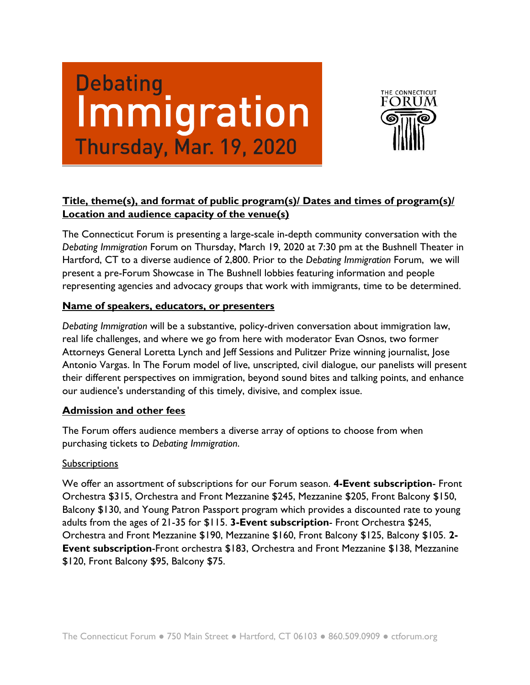# Debating<br>Immigration **Thursday, Mar. 19, 2020**



#### **Title, theme(s), and format of public program(s)/ Dates and times of program(s)/ Location and audience capacity of the venue(s)**

The Connecticut Forum is presenting a large-scale in-depth community conversation with the *Debating Immigration* Forum on Thursday, March 19, 2020 at 7:30 pm at the Bushnell Theater in Hartford, CT to a diverse audience of 2,800. Prior to the *Debating Immigration* Forum, we will present a pre-Forum Showcase in The Bushnell lobbies featuring information and people representing agencies and advocacy groups that work with immigrants, time to be determined.

#### **Name of speakers, educators, or presenters**

*Debating Immigration* will be a substantive, policy-driven conversation about immigration law, real life challenges, and where we go from here with moderator Evan Osnos, two former Attorneys General Loretta Lynch and Jeff Sessions and Pulitzer Prize winning journalist, Jose Antonio Vargas. In The Forum model of live, unscripted, civil dialogue, our panelists will present their different perspectives on immigration, beyond sound bites and talking points, and enhance our audience's understanding of this timely, divisive, and complex issue.

#### **Admission and other fees**

The Forum offers audience members a diverse array of options to choose from when purchasing tickets to *Debating Immigration*.

#### Subscriptions

We offer an assortment of subscriptions for our Forum season. **4-Event subscription**- Front Orchestra \$315, Orchestra and Front Mezzanine \$245, Mezzanine \$205, Front Balcony \$150, Balcony \$130, and Young Patron Passport program which provides a discounted rate to young adults from the ages of 21-35 for \$115. **3-Event subscription**- Front Orchestra \$245, Orchestra and Front Mezzanine \$190, Mezzanine \$160, Front Balcony \$125, Balcony \$105. **2- Event subscription**-Front orchestra \$183, Orchestra and Front Mezzanine \$138, Mezzanine \$120, Front Balcony \$95, Balcony \$75.